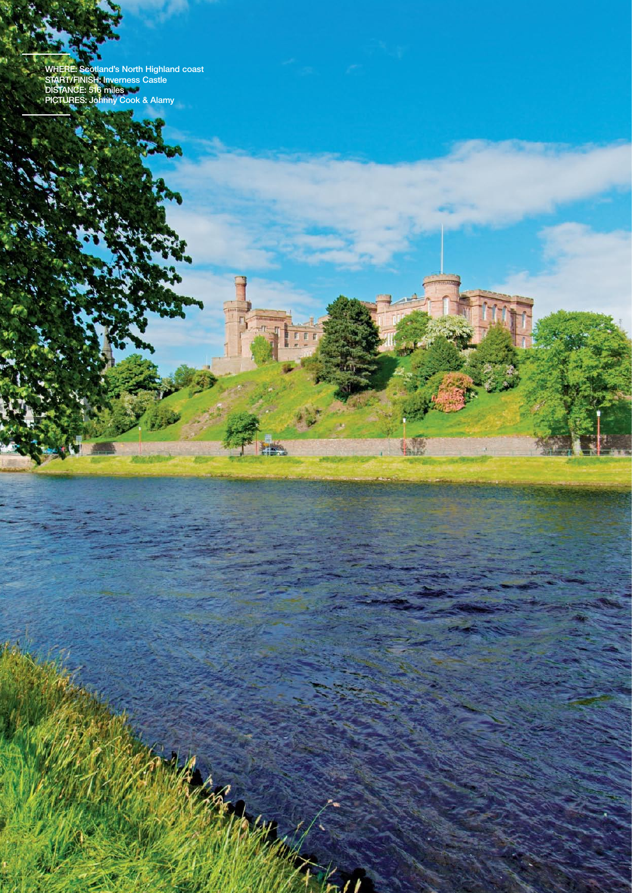**where: Scotland's North Highland coast START/finish: Inverness Castle DISTANCE: 516 miles PICTURES: Johnny Cook & Alamy**

л

Congress of

 $\mathcal{L}$ 

 $\overline{E}$ F

**HEL** 

**ATE**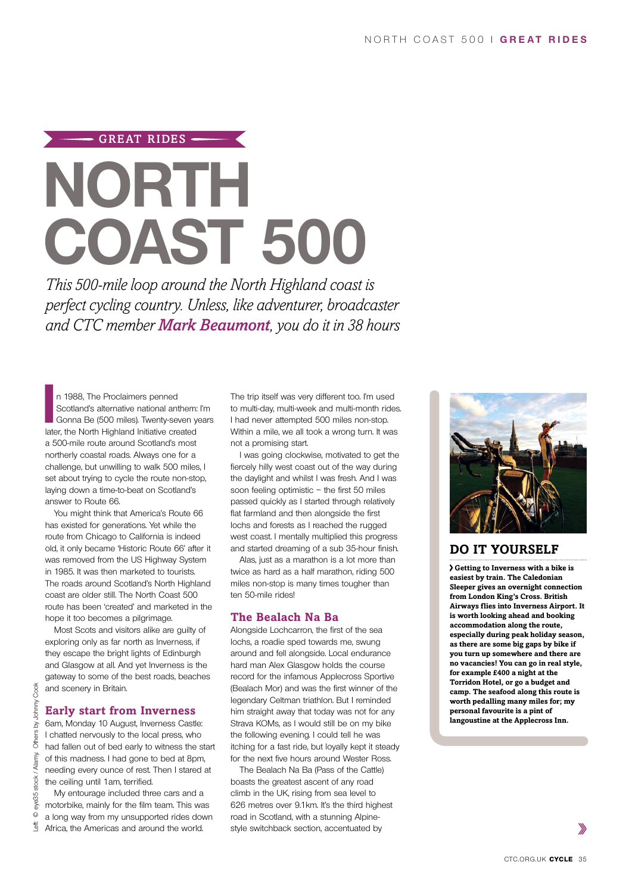# $-$  GREAT RIDES  $-$ **North Coast 500**

*This 500-mile loop around the North Highland coast is perfect cycling country. Unless, like adventurer, broadcaster and CTC member Mark Beaumont, you do it in 38 hours*

In 1988, The Proclaimers penned<br>
Scotland's alternative national anthem:<br>
Gonna Be (500 miles). Twenty-seven y<br>
later, the North Highland Initiative created n 1988, The Proclaimers penned Scotland's alternative national anthem: I'm Gonna Be (500 miles). Twenty-seven years a 500-mile route around Scotland's most northerly coastal roads. Always one for a challenge, but unwilling to walk 500 miles, I set about trying to cycle the route non-stop, laying down a time-to-beat on Scotland's answer to Route 66.

You might think that America's Route 66 has existed for generations. Yet while the route from Chicago to California is indeed old, it only became 'Historic Route 66' after it was removed from the US Highway System in 1985. It was then marketed to tourists. The roads around Scotland's North Highland coast are older still. The North Coast 500 route has been 'created' and marketed in the hope it too becomes a pilgrimage.

Most Scots and visitors alike are guilty of exploring only as far north as Inverness, if they escape the bright lights of Edinburgh and Glasgow at all. And yet Inverness is the gateway to some of the best roads, beaches and scenery in Britain.

## **Early start from Inverness**

6am, Monday 10 August, Inverness Castle: I chatted nervously to the local press, who had fallen out of bed early to witness the start of this madness. I had gone to bed at 8pm, needing every ounce of rest. Then I stared at the ceiling until 1am, terrified.

My entourage included three cars and a motorbike, mainly for the film team. This was a long way from my unsupported rides down Africa, the Americas and around the world.

The trip itself was very different too. I'm used to multi-day, multi-week and multi-month rides. I had never attempted 500 miles non-stop. Within a mile, we all took a wrong turn. It was not a promising start.

I was going clockwise, motivated to get the fiercely hilly west coast out of the way during the daylight and whilst I was fresh. And I was soon feeling optimistic – the first 50 miles passed quickly as I started through relatively flat farmland and then alongside the first lochs and forests as I reached the rugged west coast. I mentally multiplied this progress and started dreaming of a sub 35-hour finish.

Alas, just as a marathon is a lot more than twice as hard as a half marathon, riding 500 miles non-stop is many times tougher than ten 50-mile rides!

# **The Bealach Na Ba**

Alongside Lochcarron, the first of the sea lochs, a roadie sped towards me, swung around and fell alongside. Local endurance hard man Alex Glasgow holds the course record for the infamous Applecross Sportive (Bealach Mor) and was the first winner of the legendary Celtman triathlon. But I reminded him straight away that today was not for any Strava KOMs, as I would still be on my bike the following evening. I could tell he was itching for a fast ride, but loyally kept it steady for the next five hours around Wester Ross.

The Bealach Na Ba (Pass of the Cattle) boasts the greatest ascent of any road climb in the UK, rising from sea level to 626 metres over 9.1km. It's the third highest road in Scotland, with a stunning Alpinestyle switchback section, accentuated by



# **Do it yourself**

**Getting to Inverness with a bike is easiest by train. The Caledonian Sleeper gives an overnight connection from London King's Cross. British Airways flies into Inverness Airport. It is worth looking ahead and booking accommodation along the route, especially during peak holiday season, as there are some big gaps by bike if you turn up somewhere and there are no vacancies! You can go in real style, for example £400 a night at the Torridon Hotel, or go a budget and camp. The seafood along this route is worth pedalling many miles for; my personal favourite is a pint of langoustine at the Applecross Inn.**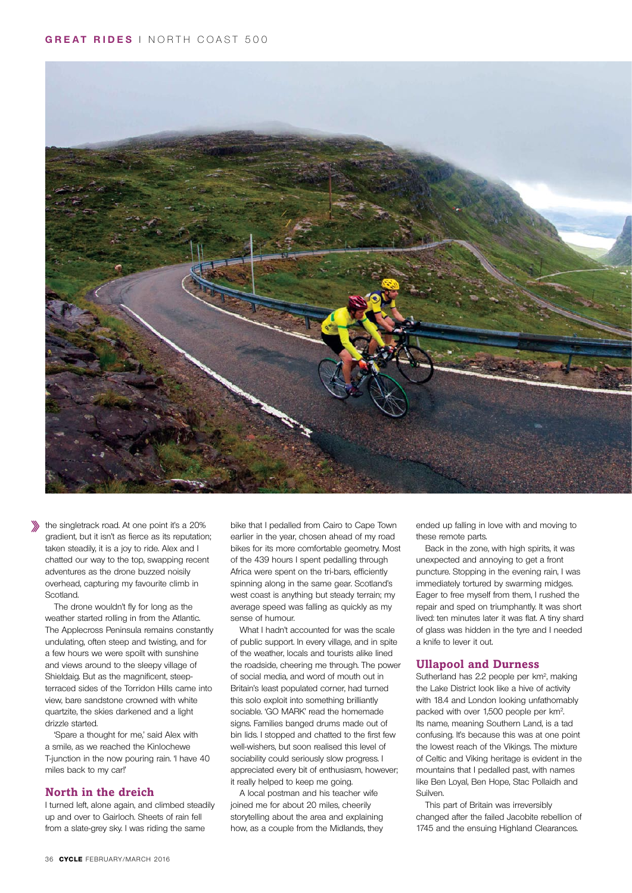

the singletrack road. At one point it's a 20% gradient, but it isn't as fierce as its reputation; taken steadily, it is a joy to ride. Alex and I chatted our way to the top, swapping recent adventures as the drone buzzed noisily overhead, capturing my favourite climb in Scotland.

The drone wouldn't fly for long as the weather started rolling in from the Atlantic. The Applecross Peninsula remains constantly undulating, often steep and twisting, and for a few hours we were spoilt with sunshine and views around to the sleepy village of Shieldaig. But as the magnificent, steepterraced sides of the Torridon Hills came into view, bare sandstone crowned with white quartzite, the skies darkened and a light drizzle started.

'Spare a thought for me,' said Alex with a smile, as we reached the Kinlochewe T-junction in the now pouring rain. 'I have 40 miles back to my car!'

# **North in the dreich**

I turned left, alone again, and climbed steadily up and over to Gairloch. Sheets of rain fell from a slate-grey sky. I was riding the same

bike that I pedalled from Cairo to Cape Town earlier in the year, chosen ahead of my road bikes for its more comfortable geometry. Most of the 439 hours I spent pedalling through Africa were spent on the tri-bars, efficiently spinning along in the same gear. Scotland's west coast is anything but steady terrain; my average speed was falling as quickly as my sense of humour.

What I hadn't accounted for was the scale of public support. In every village, and in spite of the weather, locals and tourists alike lined the roadside, cheering me through. The power of social media, and word of mouth out in Britain's least populated corner, had turned this solo exploit into something brilliantly sociable. 'GO MARK' read the homemade signs. Families banged drums made out of bin lids. I stopped and chatted to the first few well-wishers, but soon realised this level of sociability could seriously slow progress. I appreciated every bit of enthusiasm, however; it really helped to keep me going.

A local postman and his teacher wife joined me for about 20 miles, cheerily storytelling about the area and explaining how, as a couple from the Midlands, they

ended up falling in love with and moving to these remote parts.

Back in the zone, with high spirits, it was unexpected and annoying to get a front puncture. Stopping in the evening rain, I was immediately tortured by swarming midges. Eager to free myself from them, I rushed the repair and sped on triumphantly. It was short lived: ten minutes later it was flat. A tiny shard of glass was hidden in the tyre and I needed a knife to lever it out.

## **Ullapool and Durness**

Sutherland has 2.2 people per km2, making the Lake District look like a hive of activity with 18.4 and London looking unfathomably packed with over 1,500 people per km2. Its name, meaning Southern Land, is a tad confusing. It's because this was at one point the lowest reach of the Vikings. The mixture of Celtic and Viking heritage is evident in the mountains that I pedalled past, with names like Ben Loyal, Ben Hope, Stac Pollaidh and Suilven.

This part of Britain was irreversibly changed after the failed Jacobite rebellion of 1745 and the ensuing Highland Clearances.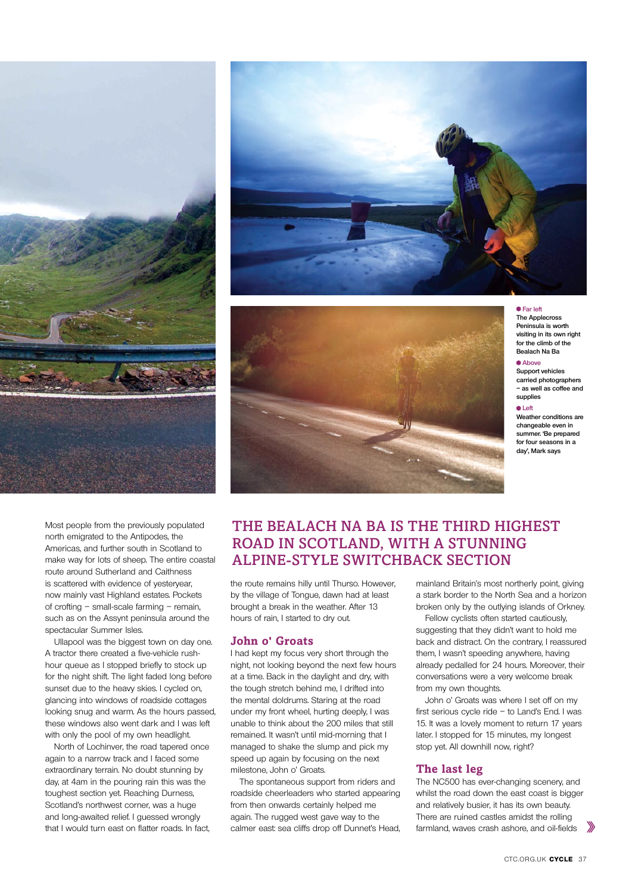

Most people from the previously populated north emigrated to the Antipodes, the Americas, and further south in Scotland to make way for lots of sheep. The entire coastal route around Sutherland and Caithness is scattered with evidence of yesteryear, now mainly vast Highland estates. Pockets of crofting – small-scale farming – remain, such as on the Assynt peninsula around the spectacular Summer Isles.

Ullapool was the biggest town on day one. A tractor there created a five-vehicle rushhour queue as I stopped briefly to stock up for the night shift. The light faded long before sunset due to the heavy skies. I cycled on, glancing into windows of roadside cottages looking snug and warm. As the hours passed, these windows also went dark and I was left with only the pool of my own headlight.

North of Lochinver, the road tapered once again to a narrow track and I faced some extraordinary terrain. No doubt stunning by day, at 4am in the pouring rain this was the toughest section yet. Reaching Durness, Scotland's northwest corner, was a huge and long-awaited relief. I guessed wrongly that I would turn east on flatter roads. In fact,





#### **Far left**

**The Applecross Peninsula is worth visiting in its own right for the climb of the Bealach Na Ba**

# **Above**

**Support vehicles carried photographers – as well as coffee and supplies**

### **Left**

**Weather conditions are changeable even in summer. 'Be prepared for four seasons in a day', Mark says**

# The Bealach Na Ba is the third highest road in Scotland, with a stunning Alpine-style switchback section

the route remains hilly until Thurso. However, by the village of Tongue, dawn had at least brought a break in the weather. After 13 hours of rain, I started to dry out.

## **John o' Groats**

I had kept my focus very short through the night, not looking beyond the next few hours at a time. Back in the daylight and dry, with the tough stretch behind me, I drifted into the mental doldrums. Staring at the road under my front wheel, hurting deeply, I was unable to think about the 200 miles that still remained. It wasn't until mid-morning that I managed to shake the slump and pick my speed up again by focusing on the next milestone, John o' Groats.

The spontaneous support from riders and roadside cheerleaders who started appearing from then onwards certainly helped me again. The rugged west gave way to the calmer east: sea cliffs drop off Dunnet's Head,

mainland Britain's most northerly point, giving a stark border to the North Sea and a horizon broken only by the outlying islands of Orkney.

Fellow cyclists often started cautiously, suggesting that they didn't want to hold me back and distract. On the contrary, I reassured them, I wasn't speeding anywhere, having already pedalled for 24 hours. Moreover, their conversations were a very welcome break from my own thoughts.

John o' Groats was where I set off on my first serious cycle ride – to Land's End. I was 15. It was a lovely moment to return 17 years later. I stopped for 15 minutes, my longest stop yet. All downhill now, right?

## **The last leg**

The NC500 has ever-changing scenery, and whilst the road down the east coast is bigger and relatively busier, it has its own beauty. There are ruined castles amidst the rolling farmland, waves crash ashore, and oil-fields